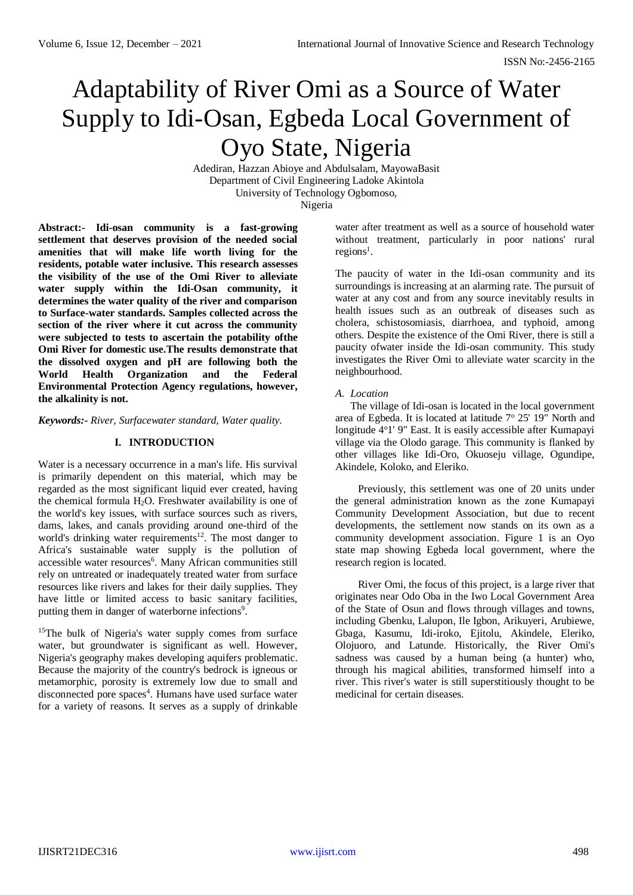# Adaptability of River Omi as a Source of Water Supply to Idi-Osan, Egbeda Local Government of Oyo State, Nigeria

Adediran, Hazzan Abioye and Abdulsalam, MayowaBasit Department of Civil Engineering Ladoke Akintola University of Technology Ogbomoso, Nigeria

**Abstract:- Idi-osan community is a fast-growing settlement that deserves provision of the needed social amenities that will make life worth living for the residents, potable water inclusive. This research assesses the visibility of the use of the Omi River to alleviate water supply within the Idi-Osan community, it determines the water quality of the river and comparison to Surface-water standards. Samples collected across the section of the river where it cut across the community were subjected to tests to ascertain the potability ofthe Omi River for domestic use.The results demonstrate that the dissolved oxygen and pH are following both the World Health Organization and the Federal Environmental Protection Agency regulations, however, the alkalinity is not.**

*Keywords:- River, Surfacewater standard, Water quality.*

#### **I. INTRODUCTION**

Water is a necessary occurrence in a man's life. His survival is primarily dependent on this material, which may be regarded as the most significant liquid ever created, having the chemical formula  $H_2O$ . Freshwater availability is one of the world's key issues, with surface sources such as rivers, dams, lakes, and canals providing around one-third of the world's drinking water requirements<sup>12</sup>. The most danger to Africa's sustainable water supply is the pollution of accessible water resources<sup>6</sup>. Many African communities still rely on untreated or inadequately treated water from surface resources like rivers and lakes for their daily supplies. They have little or limited access to basic sanitary facilities, putting them in danger of waterborne infections<sup>9</sup>.

<sup>15</sup>The bulk of Nigeria's water supply comes from surface water, but groundwater is significant as well. However, Nigeria's geography makes developing aquifers problematic. Because the majority of the country's bedrock is igneous or metamorphic, porosity is extremely low due to small and disconnected pore spaces<sup>4</sup>. Humans have used surface water for a variety of reasons. It serves as a supply of drinkable

water after treatment as well as a source of household water without treatment, particularly in poor nations' rural  $regions<sup>1</sup>$ .

The paucity of water in the Idi-osan community and its surroundings is increasing at an alarming rate. The pursuit of water at any cost and from any source inevitably results in health issues such as an outbreak of diseases such as cholera, schistosomiasis, diarrhoea, and typhoid, among others. Despite the existence of the Omi River, there is still a paucity ofwater inside the Idi-osan community. This study investigates the River Omi to alleviate water scarcity in the neighbourhood.

#### *A. Location*

The village of Idi-osan is located in the local government area of Egbeda. It is located at latitude 7° 25' 19" North and longitude 4<sup>o</sup>1' 9" East. It is easily accessible after Kumapayi village via the Olodo garage. This community is flanked by other villages like Idi-Oro, Okuoseju village, Ogundipe, Akindele, Koloko, and Eleriko.

Previously, this settlement was one of 20 units under the general administration known as the zone Kumapayi Community Development Association, but due to recent developments, the settlement now stands on its own as a community development association. Figure 1 is an Oyo state map showing Egbeda local government, where the research region is located.

River Omi, the focus of this project, is a large river that originates near Odo Oba in the Iwo Local Government Area of the State of Osun and flows through villages and towns, including Gbenku, Lalupon, Ile Igbon, Arikuyeri, Arubiewe, Gbaga, Kasumu, Idi-iroko, Ejitolu, Akindele, Eleriko, Olojuoro, and Latunde. Historically, the River Omi's sadness was caused by a human being (a hunter) who, through his magical abilities, transformed himself into a river. This river's water is still superstitiously thought to be medicinal for certain diseases.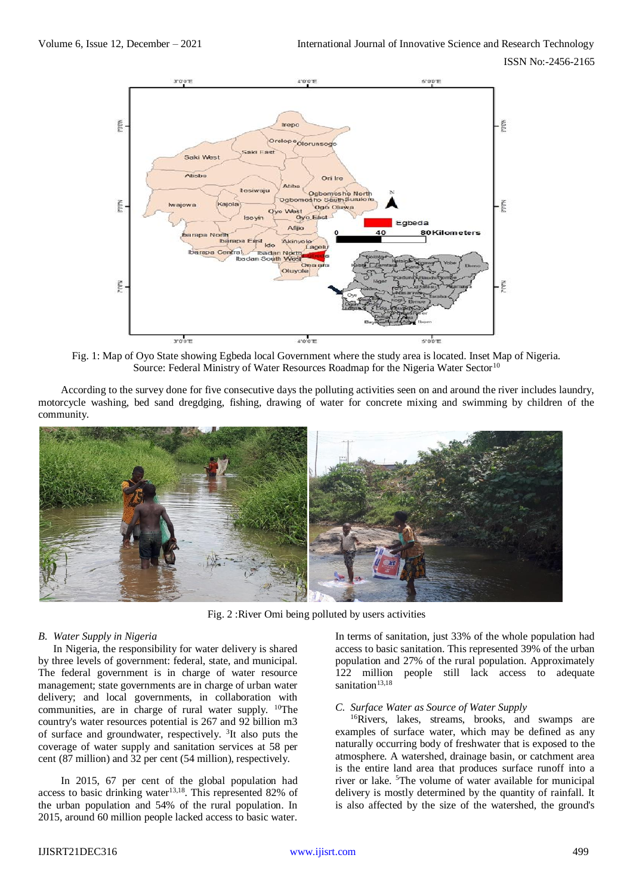

Fig. 1: Map of Oyo State showing Egbeda local Government where the study area is located. Inset Map of Nigeria. Source: Federal Ministry of Water Resources Roadmap for the Nigeria Water Sector<sup>10</sup>

According to the survey done for five consecutive days the polluting activities seen on and around the river includes laundry, motorcycle washing, bed sand dregdging, fishing, drawing of water for concrete mixing and swimming by children of the community.



Fig. 2 :River Omi being polluted by users activities

# *B. Water Supply in Nigeria*

In Nigeria, the responsibility for water delivery is shared by three levels of government: federal, state, and municipal. The federal government is in charge of water resource management; state governments are in charge of urban water delivery; and local governments, in collaboration with communities, are in charge of rural water supply. <sup>10</sup>The country's water resources potential is 267 and 92 billion m3 of surface and groundwater, respectively. 3 It also puts the coverage of water supply and sanitation services at 58 per cent (87 million) and 32 per cent (54 million), respectively.

In 2015, 67 per cent of the global population had access to basic drinking water $13,18$ . This represented 82% of the urban population and 54% of the rural population. In 2015, around 60 million people lacked access to basic water.

In terms of sanitation, just 33% of the whole population had access to basic sanitation. This represented 39% of the urban population and 27% of the rural population. Approximately 122 million people still lack access to adequate sanitation $13,18$ 

*C. Surface Water as Source of Water Supply*

<sup>16</sup>Rivers, lakes, streams, brooks, and swamps are examples of surface water, which may be defined as any naturally occurring body of freshwater that is exposed to the atmosphere. A watershed, drainage basin, or catchment area is the entire land area that produces surface runoff into a river or lake. <sup>5</sup>The volume of water available for municipal delivery is mostly determined by the quantity of rainfall. It is also affected by the size of the watershed, the ground's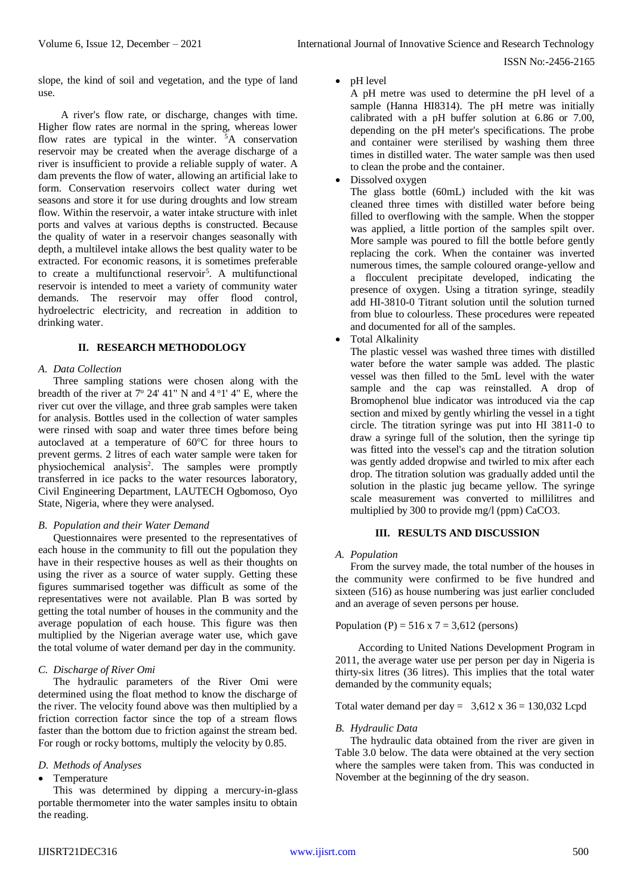ISSN No:-2456-2165

slope, the kind of soil and vegetation, and the type of land use.

A river's flow rate, or discharge, changes with time. Higher flow rates are normal in the spring, whereas lower flow rates are typical in the winter.  ${}^{5}A$  conservation reservoir may be created when the average discharge of a river is insufficient to provide a reliable supply of water. A dam prevents the flow of water, allowing an artificial lake to form. Conservation reservoirs collect water during wet seasons and store it for use during droughts and low stream flow. Within the reservoir, a water intake structure with inlet ports and valves at various depths is constructed. Because the quality of water in a reservoir changes seasonally with depth, a multilevel intake allows the best quality water to be extracted. For economic reasons, it is sometimes preferable to create a multifunctional reservoir<sup>5</sup>. A multifunctional reservoir is intended to meet a variety of community water demands. The reservoir may offer flood control, hydroelectric electricity, and recreation in addition to drinking water.

# **II. RESEARCH METHODOLOGY**

#### *A. Data Collection*

Three sampling stations were chosen along with the breadth of the river at  $7^{\circ}$  24' 41" N and  $4^{\circ}$ 1' 4" E, where the river cut over the village, and three grab samples were taken for analysis. Bottles used in the collection of water samples were rinsed with soap and water three times before being autoclaved at a temperature of  $60^{\circ}$ C for three hours to prevent germs. 2 litres of each water sample were taken for physiochemical analysis<sup>2</sup> . The samples were promptly transferred in ice packs to the water resources laboratory, Civil Engineering Department, LAUTECH Ogbomoso, Oyo State, Nigeria, where they were analysed.

# *B. Population and their Water Demand*

Questionnaires were presented to the representatives of each house in the community to fill out the population they have in their respective houses as well as their thoughts on using the river as a source of water supply. Getting these figures summarised together was difficult as some of the representatives were not available. Plan B was sorted by getting the total number of houses in the community and the average population of each house. This figure was then multiplied by the Nigerian average water use, which gave the total volume of water demand per day in the community.

# *C. Discharge of River Omi*

The hydraulic parameters of the River Omi were determined using the float method to know the discharge of the river. The velocity found above was then multiplied by a friction correction factor since the top of a stream flows faster than the bottom due to friction against the stream bed. For rough or rocky bottoms, multiply the velocity by 0.85.

# *D. Methods of Analyses*

# Temperature

This was determined by dipping a mercury-in-glass portable thermometer into the water samples insitu to obtain the reading.

 $\bullet$  pH level

A pH metre was used to determine the pH level of a sample (Hanna HI8314). The pH metre was initially calibrated with a pH buffer solution at 6.86 or 7.00, depending on the pH meter's specifications. The probe and container were sterilised by washing them three times in distilled water. The water sample was then used to clean the probe and the container.

Dissolved oxygen

The glass bottle (60mL) included with the kit was cleaned three times with distilled water before being filled to overflowing with the sample. When the stopper was applied, a little portion of the samples spilt over. More sample was poured to fill the bottle before gently replacing the cork. When the container was inverted numerous times, the sample coloured orange-yellow and a flocculent precipitate developed, indicating the presence of oxygen. Using a titration syringe, steadily add HI-3810-0 Titrant solution until the solution turned from blue to colourless. These procedures were repeated and documented for all of the samples.

Total Alkalinity

The plastic vessel was washed three times with distilled water before the water sample was added. The plastic vessel was then filled to the 5mL level with the water sample and the cap was reinstalled. A drop of Bromophenol blue indicator was introduced via the cap section and mixed by gently whirling the vessel in a tight circle. The titration syringe was put into HI 3811-0 to draw a syringe full of the solution, then the syringe tip was fitted into the vessel's cap and the titration solution was gently added dropwise and twirled to mix after each drop. The titration solution was gradually added until the solution in the plastic jug became yellow. The syringe scale measurement was converted to millilitres and multiplied by 300 to provide mg/l (ppm) CaCO3.

# **III. RESULTS AND DISCUSSION**

# *A. Population*

From the survey made, the total number of the houses in the community were confirmed to be five hundred and sixteen (516) as house numbering was just earlier concluded and an average of seven persons per house.

# Population (P) =  $516 \times 7 = 3,612$  (persons)

According to United Nations Development Program in 2011, the average water use per person per day in Nigeria is thirty-six litres (36 litres). This implies that the total water demanded by the community equals;

Total water demand per day =  $3,612 \times 36 = 130,032$  Lcpd

# *B. Hydraulic Data*

The hydraulic data obtained from the river are given in Table 3.0 below. The data were obtained at the very section where the samples were taken from. This was conducted in November at the beginning of the dry season.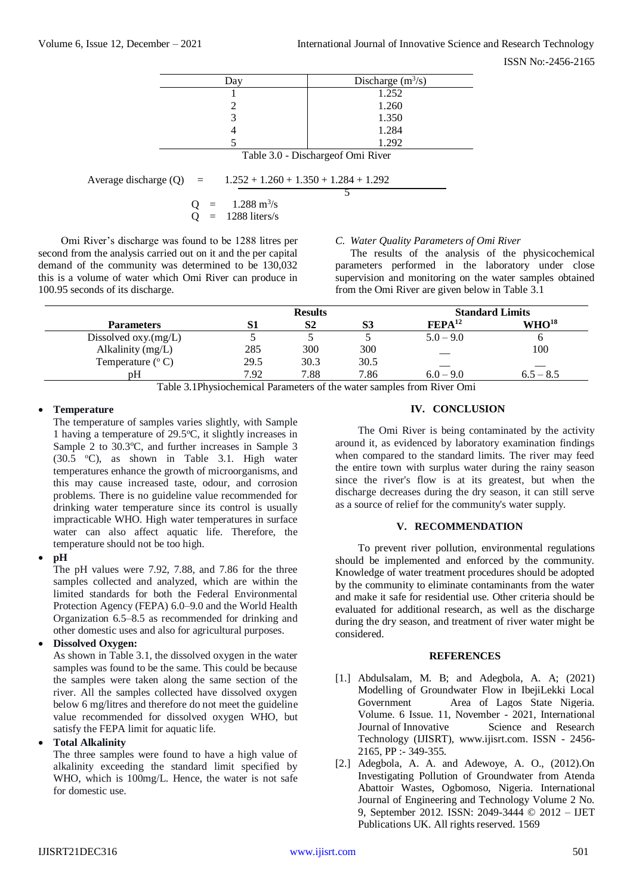ISSN No:-2456-2165

|                                    | Day                                                    | Discharge $(m^3/s)$ |  |  |  |  |
|------------------------------------|--------------------------------------------------------|---------------------|--|--|--|--|
|                                    |                                                        | 1.252               |  |  |  |  |
|                                    | 2                                                      | 1.260               |  |  |  |  |
|                                    | 3                                                      | 1.350               |  |  |  |  |
|                                    | 4                                                      | 1.284               |  |  |  |  |
|                                    | 5                                                      | 1.292               |  |  |  |  |
| Table 3.0 - Discharge of Omi River |                                                        |                     |  |  |  |  |
| Average discharge $(Q)$            | $=$ 1.252 + 1.260 + 1.350 + 1.284 + 1.292              |                     |  |  |  |  |
|                                    | $1.288 \text{ m}^3\text{/s}$<br>$Q =$<br>1288 liters/s |                     |  |  |  |  |

Omi River's discharge was found to be 1288 litres per second from the analysis carried out on it and the per capital demand of the community was determined to be 130,032 this is a volume of water which Omi River can produce in 100.95 seconds of its discharge.

#### *C. Water Quality Parameters of Omi River*

The results of the analysis of the physicochemical parameters performed in the laboratory under close supervision and monitoring on the water samples obtained from the Omi River are given below in Table 3.1

|                            | <b>Results</b> |                |      | <b>Standard Limits</b> |                   |
|----------------------------|----------------|----------------|------|------------------------|-------------------|
| <b>Parameters</b>          | S <sub>1</sub> | S <sub>2</sub> | S3   | FEPA <sup>12</sup>     | WHO <sup>18</sup> |
| Dissolved $oxy.(mg/L)$     |                |                |      | $5.0 - 9.0$            |                   |
| Alkalinity $(mg/L)$        | 285            | 300            | 300  |                        | 100               |
| Temperature $(^{\circ}$ C) | 29.5           | 30.3           | 30.5 |                        |                   |
| pΗ                         | 7.92           | 7.88           | 7.86 | $6.0 - 9.0$            | $6.5 - 8.5$       |

Table 3.1Physiochemical Parameters of the water samples from River Omi

#### **Temperature**

The temperature of samples varies slightly, with Sample 1 having a temperature of 29.5°C, it slightly increases in Sample 2 to 30.3°C, and further increases in Sample 3 (30.5  $\degree$ C), as shown in Table 3.1. High water temperatures enhance the growth of microorganisms, and this may cause increased taste, odour, and corrosion problems. There is no guideline value recommended for drinking water temperature since its control is usually impracticable WHO. High water temperatures in surface water can also affect aquatic life. Therefore, the temperature should not be too high.

# **pH**

The pH values were 7.92, 7.88, and 7.86 for the three samples collected and analyzed, which are within the limited standards for both the Federal Environmental Protection Agency (FEPA) 6.0–9.0 and the World Health Organization 6.5–8.5 as recommended for drinking and other domestic uses and also for agricultural purposes.

# **Dissolved Oxygen:**

As shown in Table 3.1, the dissolved oxygen in the water samples was found to be the same. This could be because the samples were taken along the same section of the river. All the samples collected have dissolved oxygen below 6 mg/litres and therefore do not meet the guideline value recommended for dissolved oxygen WHO, but satisfy the FEPA limit for aquatic life.

# **Total Alkalinity**

The three samples were found to have a high value of alkalinity exceeding the standard limit specified by WHO, which is 100mg/L. Hence, the water is not safe for domestic use.

#### **IV. CONCLUSION**

The Omi River is being contaminated by the activity around it, as evidenced by laboratory examination findings when compared to the standard limits. The river may feed the entire town with surplus water during the rainy season since the river's flow is at its greatest, but when the discharge decreases during the dry season, it can still serve as a source of relief for the community's water supply.

#### **V. RECOMMENDATION**

To prevent river pollution, environmental regulations should be implemented and enforced by the community. Knowledge of water treatment procedures should be adopted by the community to eliminate contaminants from the water and make it safe for residential use. Other criteria should be evaluated for additional research, as well as the discharge during the dry season, and treatment of river water might be considered.

#### **REFERENCES**

- [1.] Abdulsalam, M. B; and Adegbola, A. A; (2021) Modelling of Groundwater Flow in IbejiLekki Local Government Area of Lagos State Nigeria. Volume. 6 Issue. 11, November - 2021, International Journal of Innovative Science and Research Technology (IJISRT), www.ijisrt.com. ISSN - 2456- 2165, PP :- 349-355.
- [2.] Adegbola, A. A. and Adewoye, A. O., (2012).On Investigating Pollution of Groundwater from Atenda Abattoir Wastes, Ogbomoso, Nigeria. International Journal of Engineering and Technology Volume 2 No. 9, September 2012. ISSN: 2049-3444 © 2012 – IJET Publications UK. All rights reserved. 1569